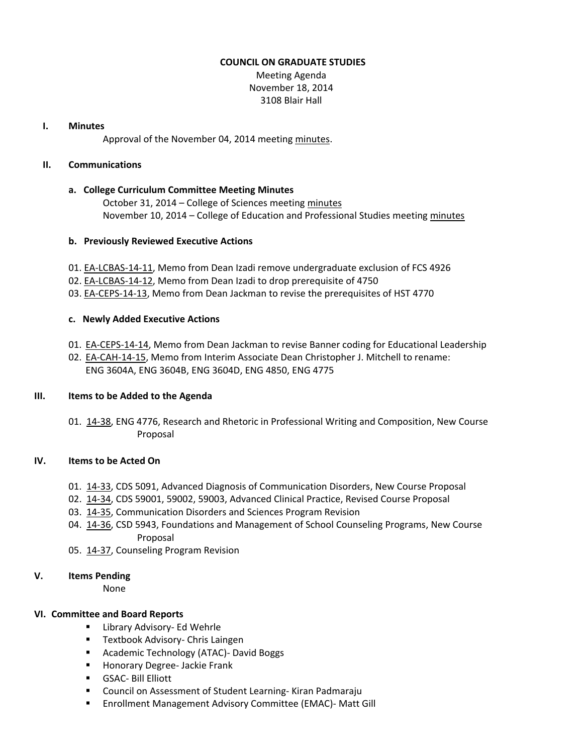#### **COUNCIL ON GRADUATE STUDIES**

Meeting Agenda November 18, 2014 3108 Blair Hall

#### **I. Minutes**

Approval of the November 04, 2014 meeting [minutes.](http://castle.eiu.edu/eiucgs/currentminutes/Minutes11-04-14.pdf)

## **II. Communications**

## **a. College Curriculum Committee Meeting Minutes**

October 31, 2014 – College of Sciences meeting [minutes](http://castle.eiu.edu/~eiucgs/currentagendaitems/COSMin10-31-14.pdf) November 10, 2014 – College of Education and Professional Studies meeting [minutes](http://castle.eiu.edu/~eiucgs/currentagendaitems/CEPSMin11-10-14.pdf)

#### **b. Previously Reviewed Executive Actions**

- 01. [EA-LCBAS-14-11,](http://castle.eiu.edu/~eiucgs/exec-actions/EA-LCBAS-14-11.pdf) Memo from Dean Izadi remove undergraduate exclusion of FCS 4926
- 02. [EA-LCBAS-14-12,](http://castle.eiu.edu/~eiucgs/exec-actions/EA-LCBAS-14-12.pdf) Memo from Dean Izadi to drop prerequisite of 4750
- 03. [EA-CEPS-14-13,](http://castle.eiu.edu/~eiucgs/exec-actions/EA-CEPS-14-13.pdf) Memo from Dean Jackman to revise the prerequisites of HST 4770

## **c. Newly Added Executive Actions**

- 01. [EA-CEPS-14-14,](http://castle.eiu.edu/~eiucgs/exec-actions/EA-CEPS-14-14.pdf) Memo from Dean Jackman to revise Banner coding for Educational Leadership
- 02. [EA-CAH-14-15,](http://castle.eiu.edu/~eiucgs/exec-actions/EA-CAH-14-15.pdf) Memo from Interim Associate Dean Christopher J. Mitchell to rename: ENG 3604A, ENG 3604B, ENG 3604D, ENG 4850, ENG 4775

## **III. Items to be Added to the Agenda**

01. [14-38,](http://castle.eiu.edu/~eiucgs/currentagendaitems/agenda14-38.pdf) ENG 4776, Research and Rhetoric in Professional Writing and Composition, New Course Proposal

## **IV. Items to be Acted On**

- 01. [14-33,](http://castle.eiu.edu/~eiucgs/currentagendaitems/agenda14-33.pdf) CDS 5091, Advanced Diagnosis of Communication Disorders, New Course Proposal
- 02. [14-34,](http://castle.eiu.edu/~eiucgs/currentagendaitems/agenda14-34.pdf) CDS 59001, 59002, 59003, Advanced Clinical Practice, Revised Course Proposal
- 03. [14-35,](http://castle.eiu.edu/~eiucgs/currentagendaitems/agenda14-35.pdf) Communication Disorders and Sciences Program Revision
- 04. [14-36,](http://castle.eiu.edu/~eiucgs/currentagendaitems/agenda14-36.pdf) CSD 5943, Foundations and Management of School Counseling Programs, New Course Proposal
- 05. [14-37,](http://castle.eiu.edu/~eiucgs/currentagendaitems/agenda14-37.pdf) Counseling Program Revision

## **V. Items Pending**

None

## **VI. Committee and Board Reports**

- **EXEC** Library Advisory- Ed Wehrle
- **Textbook Advisory- Chris Laingen**
- **Academic Technology (ATAC)- David Boggs**
- **Honorary Degree- Jackie Frank**
- GSAC- Bill Elliott
- Council on Assessment of Student Learning- Kiran Padmaraju
- **Enrollment Management Advisory Committee (EMAC)- Matt Gill**